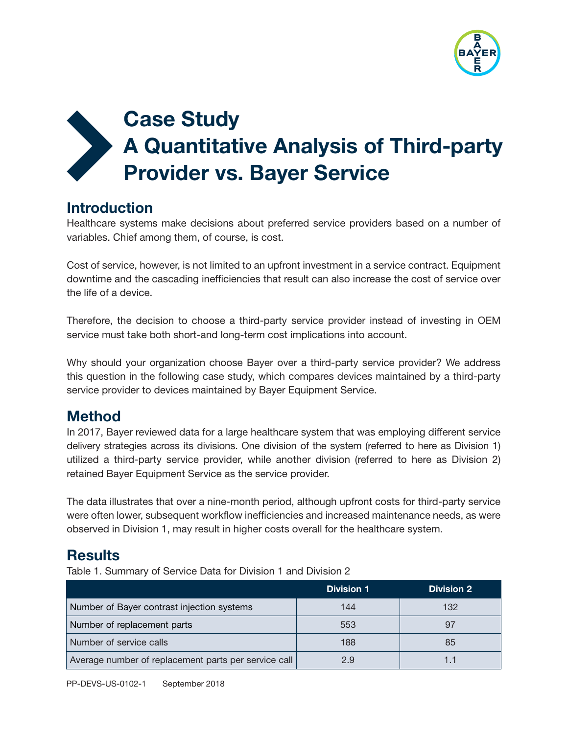

# Case Study A Quantitative Analysis of Third-party Provider vs. Bayer Service  $\sum_{i=1}^{n}$

## **Introduction**

Healthcare systems make decisions about preferred service providers based on a number of variables. Chief among them, of course, is cost.

Cost of service, however, is not limited to an upfront investment in a service contract. Equipment downtime and the cascading inefficiencies that result can also increase the cost of service over the life of a device.

Therefore, the decision to choose a third-party service provider instead of investing in OEM service must take both short-and long-term cost implications into account.

Why should your organization choose Bayer over a third-party service provider? We address this question in the following case study, which compares devices maintained by a third-party service provider to devices maintained by Bayer Equipment Service.

## **Method**

In 2017, Bayer reviewed data for a large healthcare system that was employing different service delivery strategies across its divisions. One division of the system (referred to here as Division 1) utilized a third-party service provider, while another division (referred to here as Division 2) retained Bayer Equipment Service as the service provider.

The data illustrates that over a nine-month period, although upfront costs for third-party service were often lower, subsequent workflow inefficiencies and increased maintenance needs, as were observed in Division 1, may result in higher costs overall for the healthcare system.

## **Results**

Table 1. Summary of Service Data for Division 1 and Division 2

|                                                      | <b>Division 1</b> | <b>Division 2</b> |
|------------------------------------------------------|-------------------|-------------------|
| Number of Bayer contrast injection systems           | 144               | 132               |
| Number of replacement parts                          | 553               | 97                |
| Number of service calls                              | 188               | 85                |
| Average number of replacement parts per service call | 2.9               |                   |